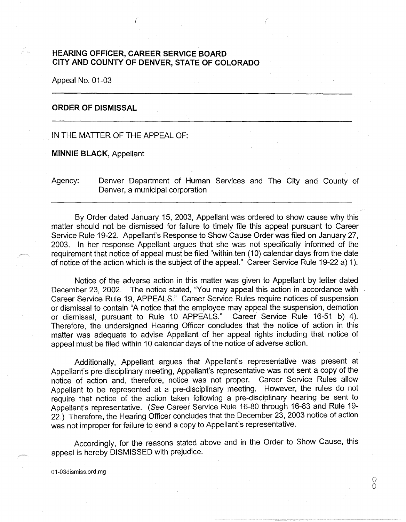## **HEARING OFFICER, CAREER SERVICE BOARD CITY AND COUNTY OF DENVER, STATE OF COLORADO**

Appeal No. 01-03

## **ORDER OF DISMISSAL**

## IN THE MATTER OF THE APPEAL OF:

**MINNIE BLACK,** Appellant

Agency: Denver Department of Human Services and The City and County of Denver, a municipal corporation

By Order dated January 15, 2003, Appellant was ordered to show cause why this matter should not be dismissed for failure to timely file this appeal pursuant to Career Service Rule 19-22. Appellant's Response to Show Cause Order was filed on January 27, 2003. In her response Appellant argues that she was not specifically informed of the requirement that notice of appeal must be filed "within ten (10) calendar days from the date of notice of the action which is the subject of the appeal." Career Service Rule 19-22 a) 1 ).

Notice of the adverse action in this matter was given to Appellant by letter dated December 23, 2002. The notice stated, "You may appeal this action in accordance with Career Service Rule 19, APPEALS." Career Service Rules require notices of suspension or dismissal to contain "A notice that the employee may appeal the suspension, demotion or dismissal, pursuant to Rule 10 APPEALS." Career Service Rule 16-51 b) 4). Therefore, the undersigned Hearing Officer concludes that the notice of action in this matter was adequate to advise Appellant of her appeal rights including that notice of appeal must be filed within 10 calendar days of the notice of adverse action.

Additionally, Appellant argues that Appellant's representative was present at Appellant's pre-disciplinary meeting, Appellant's representative was not sent a copy of the notice of action and, therefore, notice was not proper. Career Service Rules allow Appellant to be represented at a pre-disciplinary meeting. However, the rules do not require that notice of the action taken following a pre-disciplinary hearing be sent to Appellant's representative. (See Career Service Rule 16-80 through 16-83 and Rule 19- 22.) Therefore, the Hearing Officer concludes that the December 23, 2003 notice of action was not improper for failure to send a copy to Appellant's representative.

Accordingly, for the reasons stated above and in the Order to Show Cause, this appeal is hereby DISMISSED with prejudice.

01-03dismiss.ord.mg